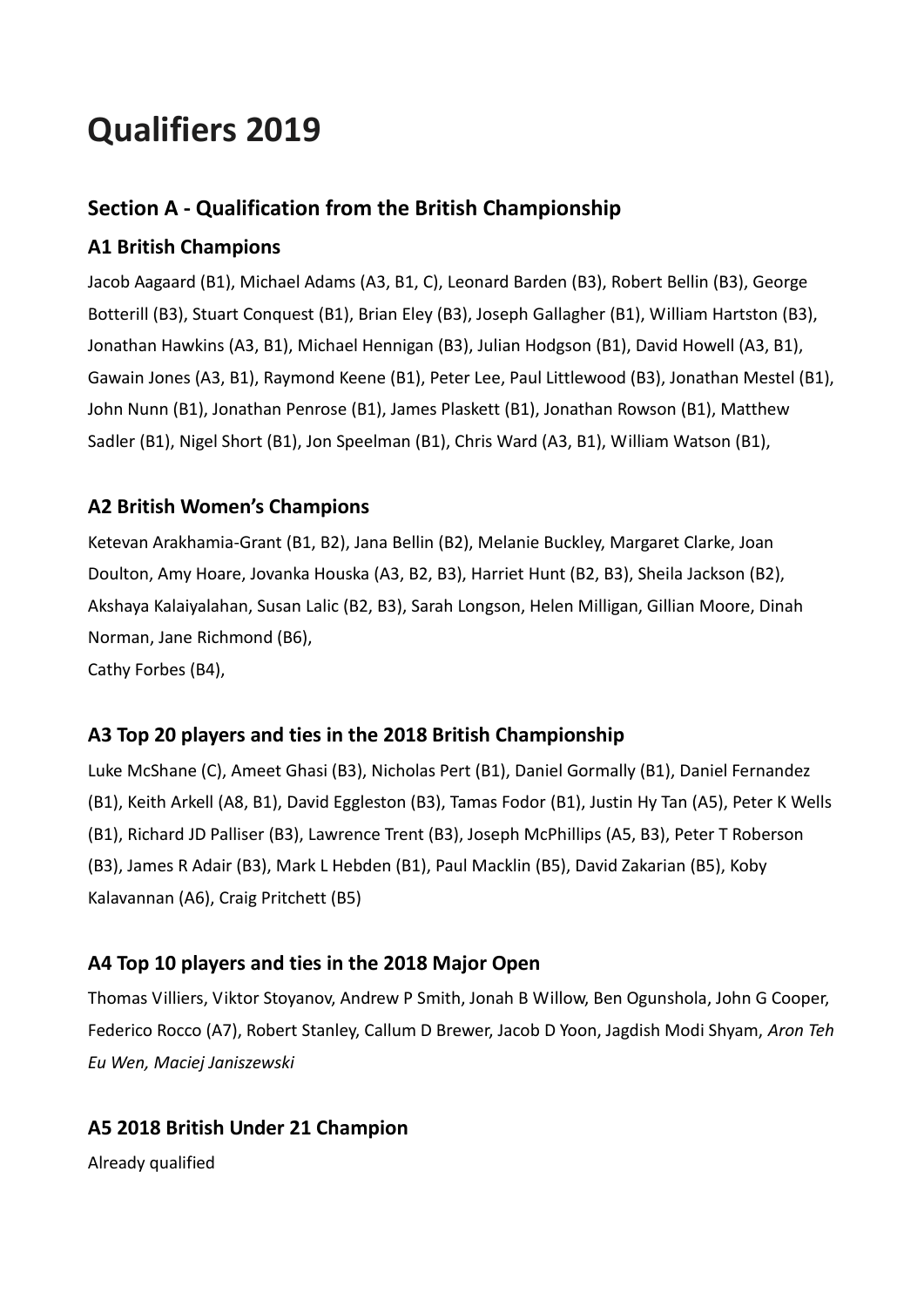# **Qualifiers 2019**

## **Section A - Qualification from the British Championship**

## **A1 British Champions**

Jacob Aagaard (B1), Michael Adams (A3, B1, C), Leonard Barden (B3), Robert Bellin (B3), George Botterill (B3), Stuart Conquest (B1), Brian Eley (B3), Joseph Gallagher (B1), William Hartston (B3), Jonathan Hawkins (A3, B1), Michael Hennigan (B3), Julian Hodgson (B1), David Howell (A3, B1), Gawain Jones (A3, B1), Raymond Keene (B1), Peter Lee, Paul Littlewood (B3), Jonathan Mestel (B1), John Nunn (B1), Jonathan Penrose (B1), James Plaskett (B1), Jonathan Rowson (B1), Matthew Sadler (B1), Nigel Short (B1), Jon Speelman (B1), Chris Ward (A3, B1), William Watson (B1),

### **A2 British Women's Champions**

Ketevan Arakhamia-Grant (B1, B2), Jana Bellin (B2), Melanie Buckley, Margaret Clarke, Joan Doulton, Amy Hoare, Jovanka Houska (A3, B2, B3), Harriet Hunt (B2, B3), Sheila Jackson (B2), Akshaya Kalaiyalahan, Susan Lalic (B2, B3), Sarah Longson, Helen Milligan, Gillian Moore, Dinah Norman, Jane Richmond (B6), Cathy Forbes (B4),

#### **A3 Top 20 players and ties in the 2018 British Championship**

Luke McShane (C), Ameet Ghasi (B3), Nicholas Pert (B1), Daniel Gormally (B1), Daniel Fernandez (B1), Keith Arkell (A8, B1), David Eggleston (B3), Tamas Fodor (B1), Justin Hy Tan (A5), Peter K Wells (B1), Richard JD Palliser (B3), Lawrence Trent (B3), Joseph McPhillips (A5, B3), Peter T Roberson (B3), James R Adair (B3), Mark L Hebden (B1), Paul Macklin (B5), David Zakarian (B5), Koby Kalavannan (A6), Craig Pritchett (B5)

## **A4 Top 10 players and ties in the 2018 Major Open**

Thomas Villiers, Viktor Stoyanov, Andrew P Smith, Jonah B Willow, Ben Ogunshola, John G Cooper, Federico Rocco (A7), Robert Stanley, Callum D Brewer, Jacob D Yoon, Jagdish Modi Shyam, *Aron Teh Eu Wen, Maciej Janiszewski*

## **A5 2018 British Under 21 Champion**

Already qualified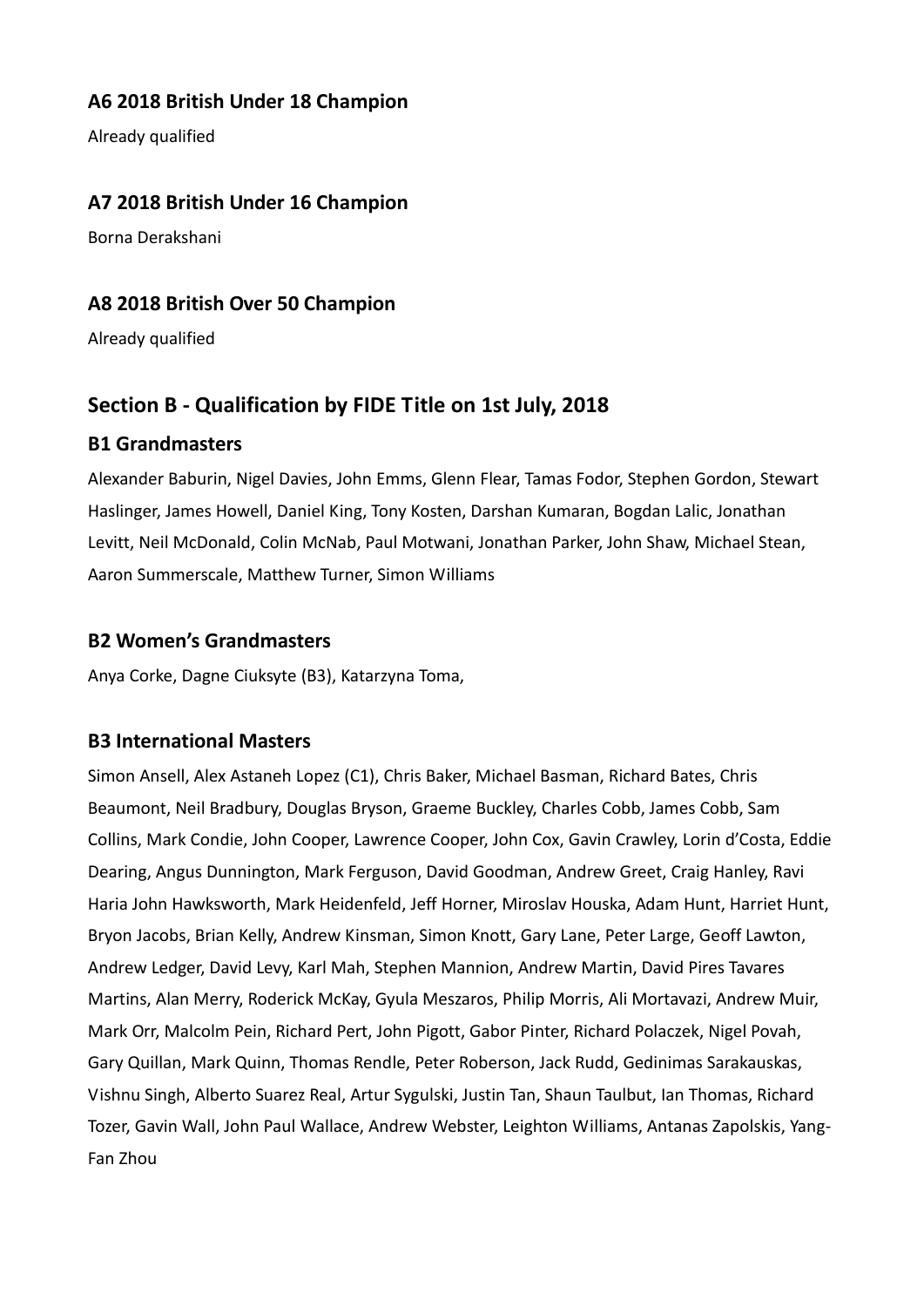#### **A6 2018 British Under 18 Champion**

Already qualified

#### **A7 2018 British Under 16 Champion**

Borna Derakshani

#### **A8 2018 British Over 50 Champion**

Already qualified

#### **Section B - Qualification by FIDE Title on 1st July, 2018**

#### **B1 Grandmasters**

Alexander Baburin, Nigel Davies, John Emms, Glenn Flear, Tamas Fodor, Stephen Gordon, Stewart Haslinger, James Howell, Daniel King, Tony Kosten, Darshan Kumaran, Bogdan Lalic, Jonathan Levitt, Neil McDonald, Colin McNab, Paul Motwani, Jonathan Parker, John Shaw, Michael Stean, Aaron Summerscale, Matthew Turner, Simon Williams

#### **B2 Women's Grandmasters**

Anya Corke, Dagne Ciuksyte (B3), Katarzyna Toma,

#### **B3 International Masters**

Simon Ansell, Alex Astaneh Lopez (C1), Chris Baker, Michael Basman, Richard Bates, Chris Beaumont, Neil Bradbury, Douglas Bryson, Graeme Buckley, Charles Cobb, James Cobb, Sam Collins, Mark Condie, John Cooper, Lawrence Cooper, John Cox, Gavin Crawley, Lorin d'Costa, Eddie Dearing, Angus Dunnington, Mark Ferguson, David Goodman, Andrew Greet, Craig Hanley, Ravi Haria John Hawksworth, Mark Heidenfeld, Jeff Horner, Miroslav Houska, Adam Hunt, Harriet Hunt, Bryon Jacobs, Brian Kelly, Andrew Kinsman, Simon Knott, Gary Lane, Peter Large, Geoff Lawton, Andrew Ledger, David Levy, Karl Mah, Stephen Mannion, Andrew Martin, David Pires Tavares Martins, Alan Merry, Roderick McKay, Gyula Meszaros, Philip Morris, Ali Mortavazi, Andrew Muir, Mark Orr, Malcolm Pein, Richard Pert, John Pigott, Gabor Pinter, Richard Polaczek, Nigel Povah, Gary Quillan, Mark Quinn, Thomas Rendle, Peter Roberson, Jack Rudd, Gedinimas Sarakauskas, Vishnu Singh, Alberto Suarez Real, Artur Sygulski, Justin Tan, Shaun Taulbut, Ian Thomas, Richard Tozer, Gavin Wall, John Paul Wallace, Andrew Webster, Leighton Williams, Antanas Zapolskis, Yang-Fan Zhou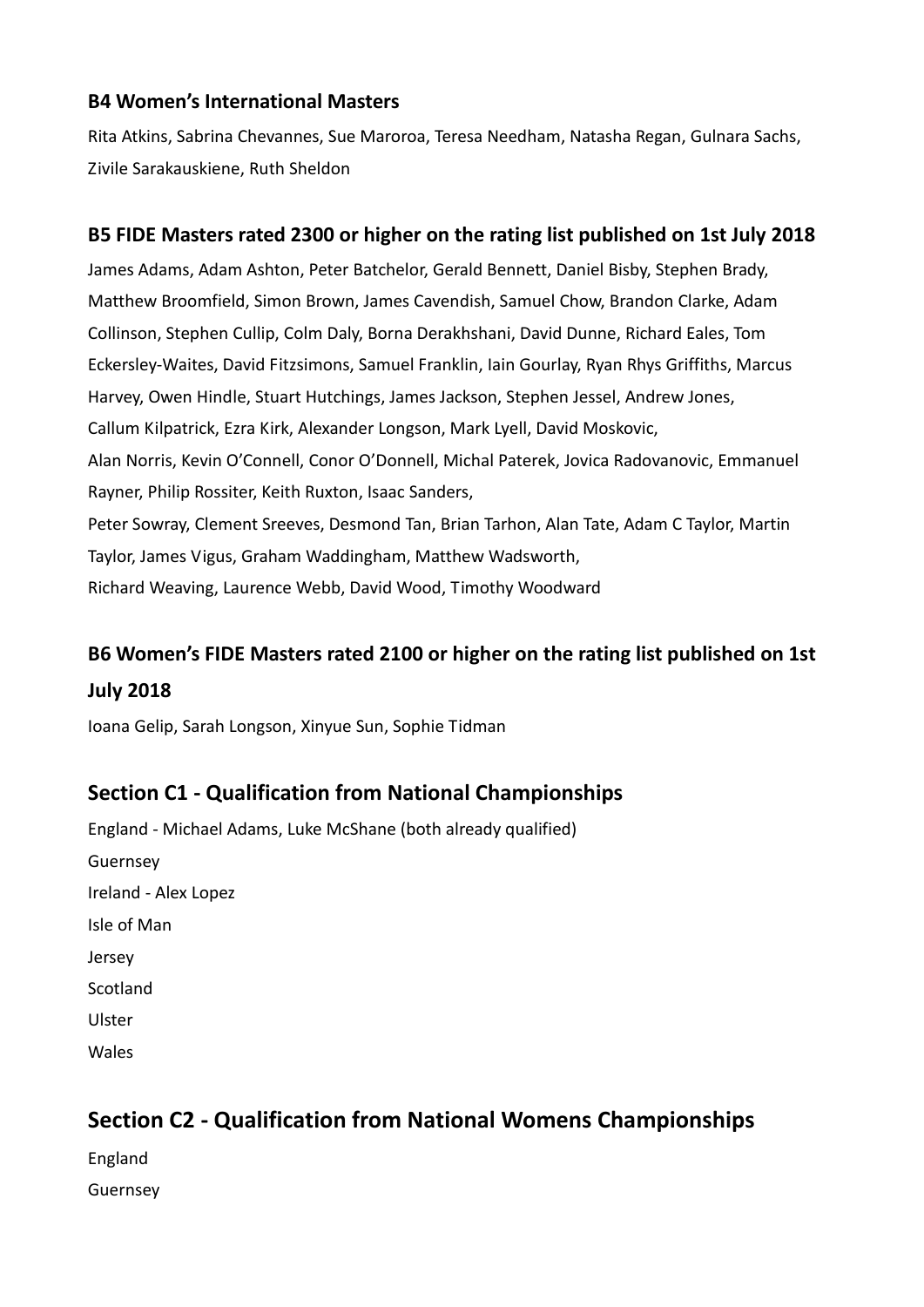#### **B4 Women's International Masters**

Rita Atkins, Sabrina Chevannes, Sue Maroroa, Teresa Needham, Natasha Regan, Gulnara Sachs, Zivile Sarakauskiene, Ruth Sheldon

#### **B5 FIDE Masters rated 2300 or higher on the rating list published on 1st July 2018**

James Adams, Adam Ashton, Peter Batchelor, Gerald Bennett, Daniel Bisby, Stephen Brady, Matthew Broomfield, Simon Brown, James Cavendish, Samuel Chow, Brandon Clarke, Adam Collinson, Stephen Cullip, Colm Daly, Borna Derakhshani, David Dunne, Richard Eales, Tom Eckersley-Waites, David Fitzsimons, Samuel Franklin, Iain Gourlay, Ryan Rhys Griffiths, Marcus Harvey, Owen Hindle, Stuart Hutchings, James Jackson, Stephen Jessel, Andrew Jones, Callum Kilpatrick, Ezra Kirk, Alexander Longson, Mark Lyell, David Moskovic, Alan Norris, Kevin O'Connell, Conor O'Donnell, Michal Paterek, Jovica Radovanovic, Emmanuel Rayner, Philip Rossiter, Keith Ruxton, Isaac Sanders, Peter Sowray, Clement Sreeves, Desmond Tan, Brian Tarhon, Alan Tate, Adam C Taylor, Martin Taylor, James Vigus, Graham Waddingham, Matthew Wadsworth, Richard Weaving, Laurence Webb, David Wood, Timothy Woodward

# **B6 Women's FIDE Masters rated 2100 or higher on the rating list published on 1st July 2018**

Ioana Gelip, Sarah Longson, Xinyue Sun, Sophie Tidman

## **Section C1 - Qualification from National Championships**

England - Michael Adams, Luke McShane (both already qualified) Guernsey Ireland - Alex Lopez Isle of Man Jersey Scotland Ulster Wales

# **Section C2 - Qualification from National Womens Championships**

England Guernsey